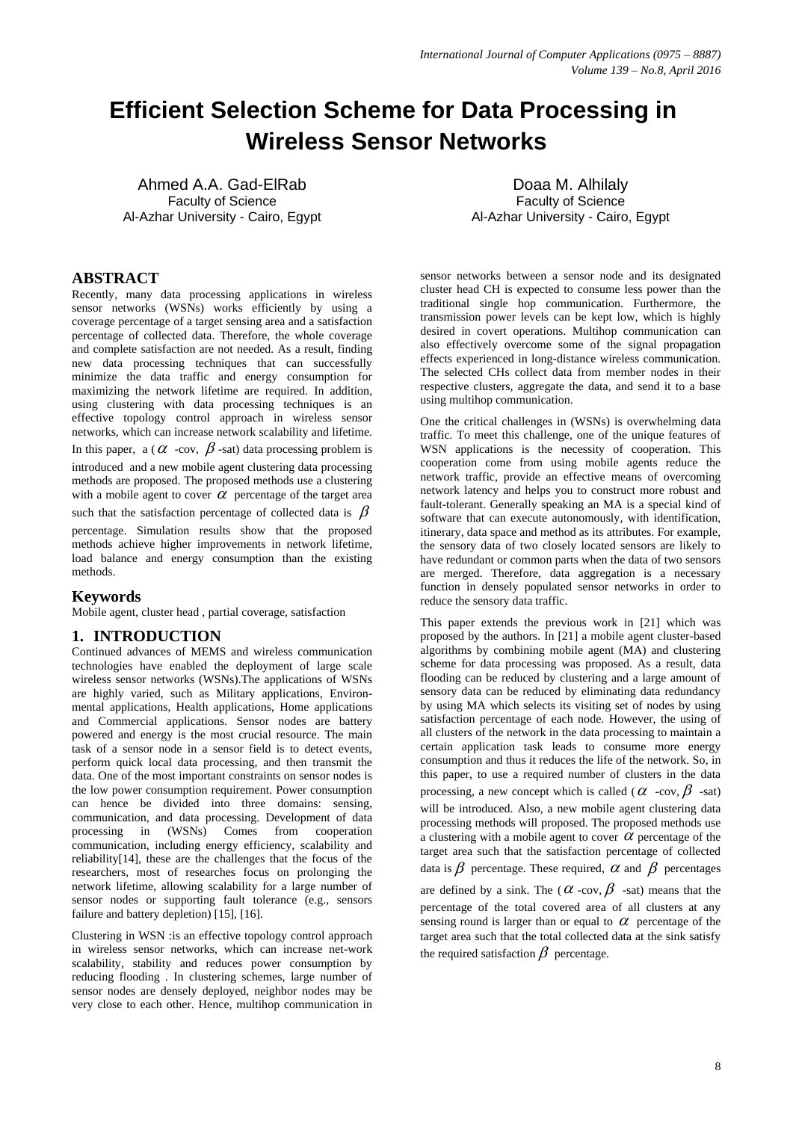# **Efficient Selection Scheme for Data Processing in Wireless Sensor Networks**

Ahmed A.A. Gad-ElRab Faculty of Science Al-Azhar University - Cairo, Egypt

**ABSTRACT**

Recently, many data processing applications in wireless sensor networks (WSNs) works efficiently by using a coverage percentage of a target sensing area and a satisfaction percentage of collected data. Therefore, the whole coverage and complete satisfaction are not needed. As a result, finding new data processing techniques that can successfully minimize the data traffic and energy consumption for maximizing the network lifetime are required. In addition, using clustering with data processing techniques is an effective topology control approach in wireless sensor networks, which can increase network scalability and lifetime. In this paper, a ( $\alpha$  -cov,  $\beta$ -sat) data processing problem is introduced and a new mobile agent clustering data processing methods are proposed. The proposed methods use a clustering with a mobile agent to cover  $\alpha$  percentage of the target area such that the satisfaction percentage of collected data is  $\beta$ 

percentage. Simulation results show that the proposed methods achieve higher improvements in network lifetime, load balance and energy consumption than the existing methods.

# **Keywords**

Mobile agent, cluster head , partial coverage, satisfaction

# **1. INTRODUCTION**

Continued advances of MEMS and wireless communication technologies have enabled the deployment of large scale wireless sensor networks (WSNs).The applications of WSNs are highly varied, such as Military applications, Environmental applications, Health applications, Home applications and Commercial applications. Sensor nodes are battery powered and energy is the most crucial resource. The main task of a sensor node in a sensor field is to detect events, perform quick local data processing, and then transmit the data. One of the most important constraints on sensor nodes is the low power consumption requirement. Power consumption can hence be divided into three domains: sensing, communication, and data processing. Development of data processing in (WSNs) Comes from cooperation communication, including energy efficiency, scalability and reliability[14], these are the challenges that the focus of the researchers, most of researches focus on prolonging the network lifetime, allowing scalability for a large number of sensor nodes or supporting fault tolerance (e.g., sensors failure and battery depletion) [15], [16].

Clustering in WSN :is an effective topology control approach in wireless sensor networks, which can increase net-work scalability, stability and reduces power consumption by reducing flooding . In clustering schemes, large number of sensor nodes are densely deployed, neighbor nodes may be very close to each other. Hence, multihop communication in

Doaa M. Alhilaly Faculty of Science Al-Azhar University - Cairo, Egypt

sensor networks between a sensor node and its designated cluster head CH is expected to consume less power than the traditional single hop communication. Furthermore, the transmission power levels can be kept low, which is highly desired in covert operations. Multihop communication can also effectively overcome some of the signal propagation effects experienced in long-distance wireless communication. The selected CHs collect data from member nodes in their respective clusters, aggregate the data, and send it to a base using multihop communication.

One the critical challenges in (WSNs) is overwhelming data traffic. To meet this challenge, one of the unique features of WSN applications is the necessity of cooperation. This cooperation come from using mobile agents reduce the network traffic, provide an effective means of overcoming network latency and helps you to construct more robust and fault-tolerant. Generally speaking an MA is a special kind of software that can execute autonomously, with identification, itinerary, data space and method as its attributes. For example, the sensory data of two closely located sensors are likely to have redundant or common parts when the data of two sensors are merged. Therefore, data aggregation is a necessary function in densely populated sensor networks in order to reduce the sensory data traffic.

This paper extends the previous work in [21] which was proposed by the authors. In [21] a mobile agent cluster-based algorithms by combining mobile agent (MA) and clustering scheme for data processing was proposed. As a result, data flooding can be reduced by clustering and a large amount of sensory data can be reduced by eliminating data redundancy by using MA which selects its visiting set of nodes by using satisfaction percentage of each node. However, the using of all clusters of the network in the data processing to maintain a certain application task leads to consume more energy consumption and thus it reduces the life of the network. So, in this paper, to use a required number of clusters in the data processing, a new concept which is called ( $\alpha$  -cov,  $\beta$  -sat) will be introduced. Also, a new mobile agent clustering data processing methods will proposed. The proposed methods use a clustering with a mobile agent to cover  $\alpha$  percentage of the target area such that the satisfaction percentage of collected data is  $\beta$  percentage. These required,  $\alpha$  and  $\beta$  percentages are defined by a sink. The ( $\alpha$ -cov,  $\beta$ -sat) means that the percentage of the total covered area of all clusters at any sensing round is larger than or equal to  $\alpha$  percentage of the target area such that the total collected data at the sink satisfy the required satisfaction  $\beta$  percentage.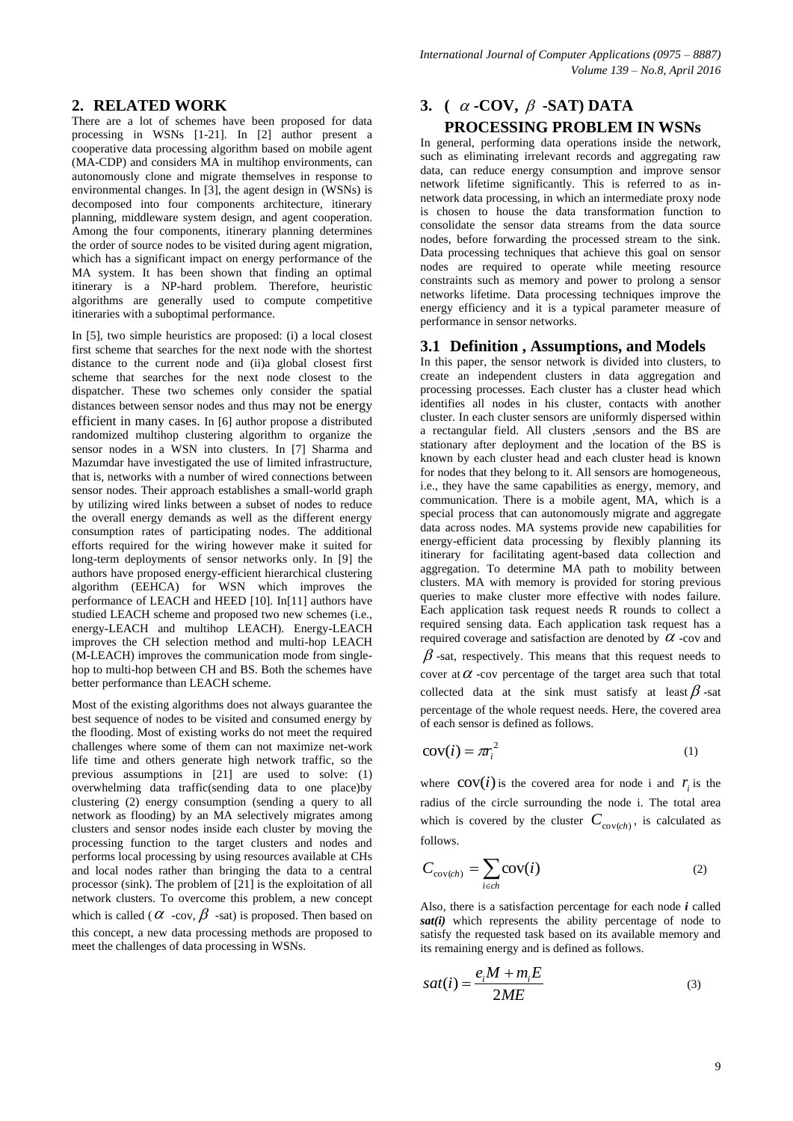# **2. RELATED WORK**

There are a lot of schemes have been proposed for data processing in WSNs [1-21]. In [2] author present a cooperative data processing algorithm based on mobile agent (MA-CDP) and considers MA in multihop environments, can autonomously clone and migrate themselves in response to environmental changes. In [3], the agent design in (WSNs) is decomposed into four components architecture, itinerary planning, middleware system design, and agent cooperation. Among the four components, itinerary planning determines the order of source nodes to be visited during agent migration, which has a significant impact on energy performance of the MA system. It has been shown that finding an optimal itinerary is a NP-hard problem. Therefore, heuristic algorithms are generally used to compute competitive itineraries with a suboptimal performance.

In [5], two simple heuristics are proposed: (i) a local closest first scheme that searches for the next node with the shortest distance to the current node and (ii)a global closest first scheme that searches for the next node closest to the dispatcher. These two schemes only consider the spatial distances between sensor nodes and thus may not be energy efficient in many cases. In [6] author propose a distributed randomized multihop clustering algorithm to organize the sensor nodes in a WSN into clusters. In [7] Sharma and Mazumdar have investigated the use of limited infrastructure, that is, networks with a number of wired connections between sensor nodes. Their approach establishes a small-world graph by utilizing wired links between a subset of nodes to reduce the overall energy demands as well as the different energy consumption rates of participating nodes. The additional efforts required for the wiring however make it suited for long-term deployments of sensor networks only. In [9] the authors have proposed energy-efficient hierarchical clustering algorithm (EEHCA) for WSN which improves the performance of LEACH and HEED [10]. In[11] authors have studied LEACH scheme and proposed two new schemes (i.e., energy-LEACH and multihop LEACH). Energy-LEACH improves the CH selection method and multi-hop LEACH (M-LEACH) improves the communication mode from singlehop to multi-hop between CH and BS. Both the schemes have better performance than LEACH scheme.

Most of the existing algorithms does not always guarantee the best sequence of nodes to be visited and consumed energy by the flooding. Most of existing works do not meet the required challenges where some of them can not maximize net-work life time and others generate high network traffic, so the previous assumptions in [21] are used to solve: (1) overwhelming data traffic(sending data to one place)by clustering (2) energy consumption (sending a query to all network as flooding) by an MA selectively migrates among clusters and sensor nodes inside each cluster by moving the processing function to the target clusters and nodes and performs local processing by using resources available at CHs and local nodes rather than bringing the data to a central processor (sink). The problem of [21] is the exploitation of all network clusters. To overcome this problem, a new concept which is called ( $\alpha$  -cov,  $\beta$  -sat) is proposed. Then based on this concept, a new data processing methods are proposed to meet the challenges of data processing in WSNs.

# **3.**  $(\alpha$  -COV,  $\beta$  -SAT) DATA **PROCESSING PROBLEM IN WSNs**

In general, performing data operations inside the network, such as eliminating irrelevant records and aggregating raw data, can reduce energy consumption and improve sensor network lifetime significantly. This is referred to as innetwork data processing, in which an intermediate proxy node is chosen to house the data transformation function to consolidate the sensor data streams from the data source nodes, before forwarding the processed stream to the sink. Data processing techniques that achieve this goal on sensor nodes are required to operate while meeting resource constraints such as memory and power to prolong a sensor networks lifetime. Data processing techniques improve the energy efficiency and it is a typical parameter measure of performance in sensor networks.

## **3.1 Definition , Assumptions, and Models**

In this paper, the sensor network is divided into clusters, to create an independent clusters in data aggregation and processing processes. Each cluster has a cluster head which identifies all nodes in his cluster, contacts with another cluster. In each cluster sensors are uniformly dispersed within a rectangular field. All clusters ,sensors and the BS are stationary after deployment and the location of the BS is known by each cluster head and each cluster head is known for nodes that they belong to it. All sensors are homogeneous, i.e., they have the same capabilities as energy, memory, and communication. There is a mobile agent, MA, which is a special process that can autonomously migrate and aggregate data across nodes. MA systems provide new capabilities for energy-efficient data processing by flexibly planning its itinerary for facilitating agent-based data collection and aggregation. To determine MA path to mobility between clusters. MA with memory is provided for storing previous queries to make cluster more effective with nodes failure. Each application task request needs R rounds to collect a required sensing data. Each application task request has a required coverage and satisfaction are denoted by  $\alpha$  -cov and  $\beta$ -sat, respectively. This means that this request needs to cover at  $\alpha$  -cov percentage of the target area such that total collected data at the sink must satisfy at least  $\beta$ -sat percentage of the whole request needs. Here, the covered area of each sensor is defined as follows.

$$
cov(i) = \pi r_i^2 \tag{1}
$$

where  $\text{cov}(i)$  is the covered area for node i and  $r_i$  is the radius of the circle surrounding the node i. The total area which is covered by the cluster  $C_{\text{cov}(ch)}$ , is calculated as follows.

$$
C_{\text{cov}(ch)} = \sum_{i \in ch} \text{cov}(i) \tag{2}
$$

Also, there is a satisfaction percentage for each node *i* called *sat(i)* which represents the ability percentage of node to satisfy the requested task based on its available memory and its remaining energy and is defined as follows.

$$
sat(i) = \frac{e_i M + m_i E}{2ME}
$$
 (3)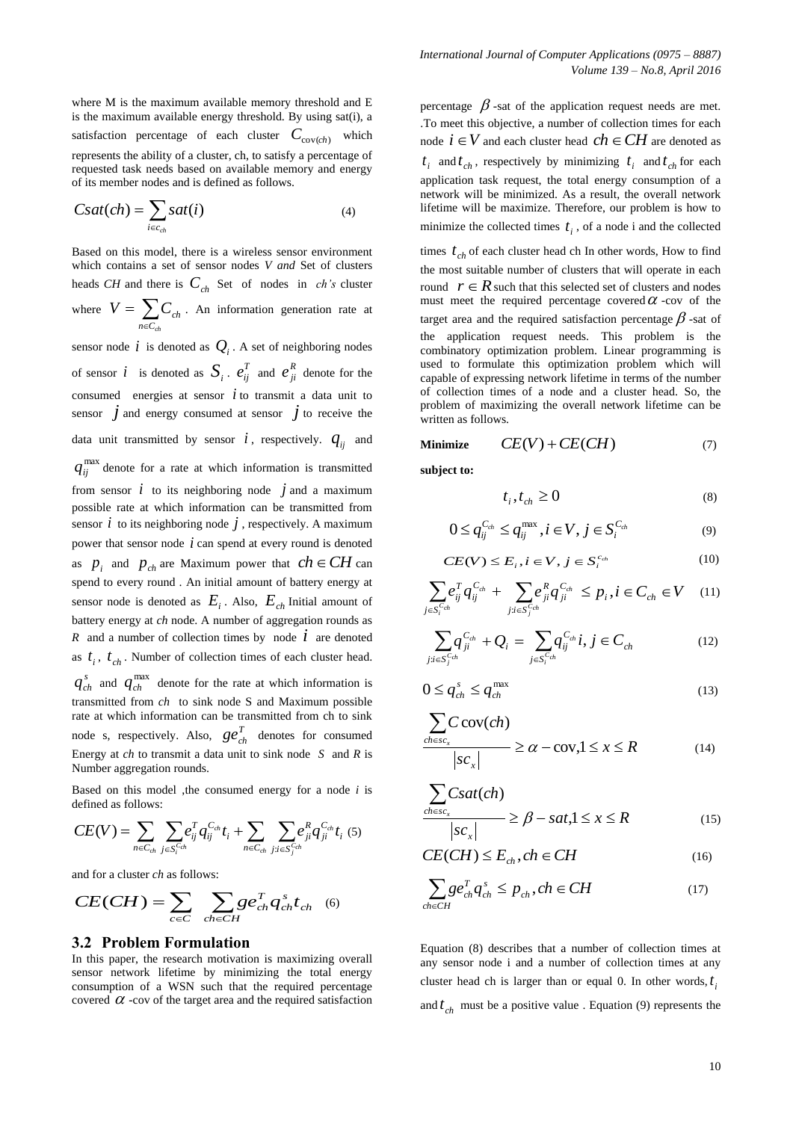where M is the maximum available memory threshold and E is the maximum available energy threshold. By using sat(i), a satisfaction percentage of each cluster  $C_{\text{cov}(ch)}$  which represents the ability of a cluster, ch, to satisfy a percentage of requested task needs based on available memory and energy of its member nodes and is defined as follows.

$$
Csat(ch) = \sum_{i \in c_{ch}} sat(i) \tag{4}
$$

Based on this model, there is a wireless sensor environment which contains a set of sensor nodes *V and* Set of clusters heads *CH* and there is  $C_{ch}$  Set of nodes in *ch's* cluster where  $V = \sum_{n \in C_{cl}}$  $=$  $n \in C_{ch}$  $V = \sum C_{ch}$ . An information generation rate at

sensor node  $i$  is denoted as  $Q_i$ . A set of neighboring nodes of sensor *i* is denoted as  $S_i$ .  $e_{ij}^T$  and  $e_{ji}^R$  denote for the consumed energies at sensor  $\dot{i}$  to transmit a data unit to sensor  $\dot{j}$  and energy consumed at sensor  $\dot{j}$  to receive the data unit transmitted by sensor  $i$ , respectively.  $q_{ij}$  and  $q_{ij}^{\text{max}}$  denote for a rate at which information is transmitted from sensor  $i$  to its neighboring node  $j$  and a maximum possible rate at which information can be transmitted from sensor  $i$  to its neighboring node  $j$ , respectively. A maximum power that sensor node  $i$  can spend at every round is denoted as  $p_i$  and  $p_{ch}$  are Maximum power that  $ch \in CH$  can spend to every round . An initial amount of battery energy at sensor node is denoted as  $E_i$ . Also,  $E_{ch}$  Initial amount of battery energy at *ch* node. A number of aggregation rounds as *R* and a number of collection times by node  $\vec{i}$  are denoted as  $t_i$ ,  $t_{ch}$ . Number of collection times of each cluster head.  $q_{ch}^s$  and  $q_{ch}^{\text{max}}$  denote for the rate at which information is transmitted from *ch* to sink node S and Maximum possible rate at which information can be transmitted from ch to sink node s, respectively. Also,  $ge_{ch}^T$  denotes for consumed Energy at *ch* to transmit a data unit to sink node *S* and *R* is Number aggregation rounds.

Based on this model ,the consumed energy for a node *i* is defined as follows:

$$
CE(V) = \sum_{n \in C_{ch}} \sum_{j \in S_{t}^{C_{ch}}} e_{ij}^{T} q_{ij}^{C_{ch}} t_{i} + \sum_{n \in C_{ch}} \sum_{j:i \in S_{j}^{C_{ch}}} e_{ji}^{R} q_{ji}^{C_{ch}} t_{i} \tag{5}
$$

and for a cluster *ch* as follows:

$$
CE(CH) = \sum_{c \in C} \sum_{ch \in CH} ge_{ch}^T q_{ch}^s t_{ch} \quad (6)
$$

## **3.2 Problem Formulation**

In this paper, the research motivation is maximizing overall sensor network lifetime by minimizing the total energy consumption of a WSN such that the required percentage covered  $\alpha$  -cov of the target area and the required satisfaction percentage  $\beta$ -sat of the application request needs are met. .To meet this objective, a number of collection times for each node  $i \in V$  and each cluster head  $ch \in CH$  are denoted as  $t_i$  and  $t_{ch}$ , respectively by minimizing  $t_i$  and  $t_{ch}$  for each application task request, the total energy consumption of a network will be minimized. As a result, the overall network lifetime will be maximize. Therefore, our problem is how to minimize the collected times  $t_i$ , of a node i and the collected times  $t_{ch}$  of each cluster head ch In other words, How to find the most suitable number of clusters that will operate in each round  $r \in R$  such that this selected set of clusters and nodes must meet the required percentage covered  $\alpha$  -cov of the target area and the required satisfaction percentage  $\beta$  -sat of the application request needs. This problem is the combinatory optimization problem. Linear programming is used to formulate this optimization problem which will capable of expressing network lifetime in terms of the number of collection times of a node and a cluster head. So, the problem of maximizing the overall network lifetime can be written as follows.

$$
Minimize \t CE(V) + CE(CH) \t(7)
$$

**subject to:**

$$
t_i, t_{ch} \ge 0 \tag{8}
$$

$$
0 \leq q_{ij}^{C_{ch}} \leq q_{ij}^{\max}, i \in V, j \in S_i^{C_{ch}} \tag{9}
$$

$$
CE(V) \le E_i, i \in V, j \in S_i^{c_{ch}} \tag{10}
$$

$$
\sum_{j \in S_i^{C_{ch}}} e_{ij}^T q_{ij}^{C_{ch}} + \sum_{j:i \in S_j^{C_{ch}}} e_{ji}^R q_{ji}^{C_{ch}} \le p_i, i \in C_{ch} \in V \quad (11)
$$

$$
\sum_{j:i\in S_j^{C_{ch}}} q_{ji}^{C_{ch}} + Q_i = \sum_{j\in S_i^{C_{ch}}} q_{ij}^{C_{ch}} i, j \in C_{ch}
$$
(12)

$$
0 \le q_{ch}^s \le q_{ch}^{\max} \tag{13}
$$

$$
\frac{\sum_{\text{chesc}_x} C \text{cov}(\text{ch})}{|sc_x|} \ge \alpha - \text{cov}, 1 \le x \le R \tag{14}
$$

$$
\frac{\sum_{\text{chesc}_x} \text{Csat}(\text{ch})}{|sc_x|} \ge \beta - \text{sat,} 1 \le x \le R \tag{15}
$$

$$
CE(CH) \le E_{ch}, ch \in CH \tag{16}
$$

$$
\sum_{ch\in CH}ge_{ch}^{T}q_{ch}^{s}\leq p_{ch}, ch\in CH
$$
 (17)

Equation (8) describes that a number of collection times at any sensor node i and a number of collection times at any cluster head ch is larger than or equal 0. In other words,  $t_i$ and  $t_{ch}$  must be a positive value . Equation (9) represents the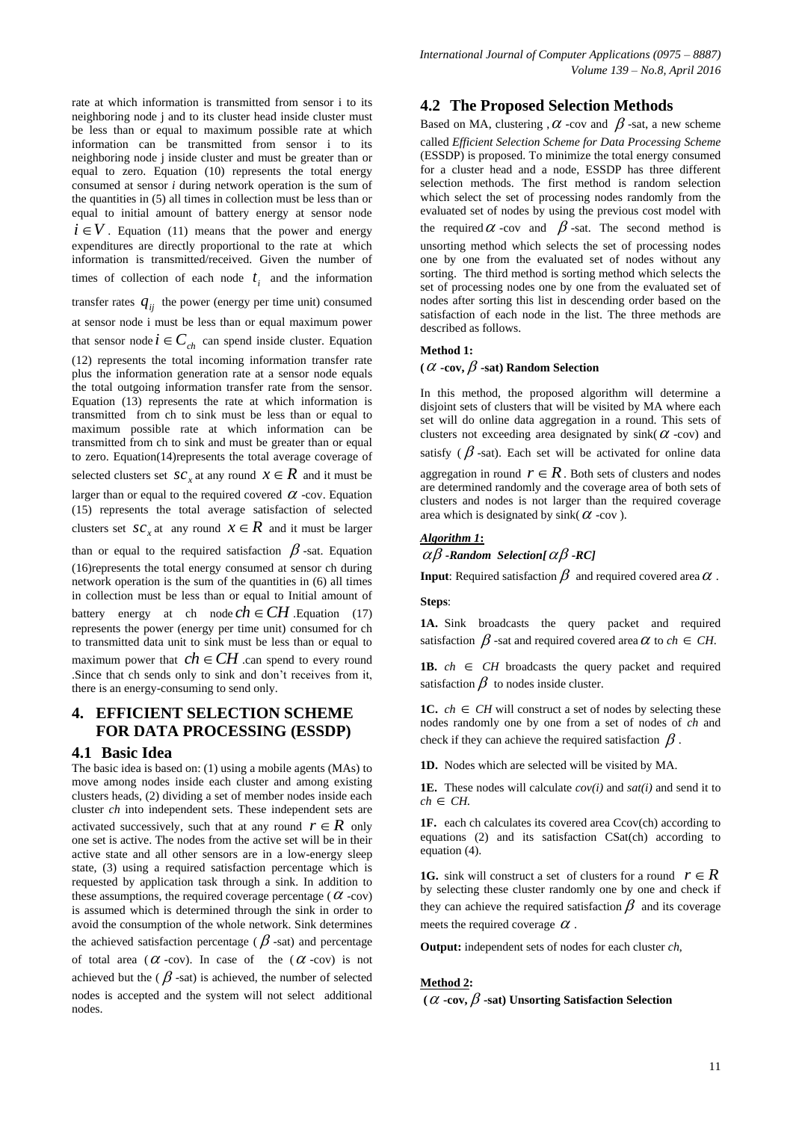rate at which information is transmitted from sensor i to its neighboring node j and to its cluster head inside cluster must be less than or equal to maximum possible rate at which information can be transmitted from sensor i to its neighboring node j inside cluster and must be greater than or equal to zero. Equation (10) represents the total energy consumed at sensor *i* during network operation is the sum of the quantities in (5) all times in collection must be less than or equal to initial amount of battery energy at sensor node  $i \in V$ . Equation (11) means that the power and energy expenditures are directly proportional to the rate at which information is transmitted/received. Given the number of times of collection of each node  $t_i$  and the information transfer rates  $q_{ij}$  the power (energy per time unit) consumed at sensor node i must be less than or equal maximum power that sensor node  $i \in C_{ch}$  can spend inside cluster. Equation (12) represents the total incoming information transfer rate plus the information generation rate at a sensor node equals the total outgoing information transfer rate from the sensor. Equation (13) represents the rate at which information is transmitted from ch to sink must be less than or equal to maximum possible rate at which information can be transmitted from ch to sink and must be greater than or equal to zero. Equation(14)represents the total average coverage of selected clusters set  $SC_x$  at any round  $X \in \mathbb{R}$  and it must be larger than or equal to the required covered  $\alpha$  -cov. Equation (15) represents the total average satisfaction of selected clusters set  $\mathcal{SC}_x$  at any round  $\mathcal{X} \in \mathbb{R}$  and it must be larger than or equal to the required satisfaction  $\beta$ -sat. Equation (16)represents the total energy consumed at sensor ch during network operation is the sum of the quantities in (6) all times in collection must be less than or equal to Initial amount of battery energy at ch node  $ch \in CH$  Equation (17) represents the power (energy per time unit) consumed for ch to transmitted data unit to sink must be less than or equal to maximum power that  $ch \in CH$  can spend to every round .Since that ch sends only to sink and don't receives from it, there is an energy-consuming to send only.

# **4. EFFICIENT SELECTION SCHEME FOR DATA PROCESSING (ESSDP)**

# **4.1 Basic Idea**

The basic idea is based on: (1) using a mobile agents (MAs) to move among nodes inside each cluster and among existing clusters heads, (2) dividing a set of member nodes inside each cluster *ch* into independent sets. These independent sets are activated successively, such that at any round  $r \in R$  only one set is active. The nodes from the active set will be in their active state and all other sensors are in a low-energy sleep state, (3) using a required satisfaction percentage which is requested by application task through a sink. In addition to these assumptions, the required coverage percentage ( $\alpha$  -cov) is assumed which is determined through the sink in order to avoid the consumption of the whole network. Sink determines the achieved satisfaction percentage ( $\beta$ -sat) and percentage of total area  $(\alpha$ -cov). In case of the  $(\alpha$ -cov) is not achieved but the  $(\beta$ -sat) is achieved, the number of selected nodes is accepted and the system will not select additional nodes.

# **4.2 The Proposed Selection Methods**

Based on MA, clustering ,  $\alpha$  -cov and  $\beta$  -sat, a new scheme called *Efficient Selection Scheme for Data Processing Scheme* (ESSDP) is proposed. To minimize the total energy consumed for a cluster head and a node, ESSDP has three different selection methods. The first method is random selection which select the set of processing nodes randomly from the evaluated set of nodes by using the previous cost model with the required  $\alpha$  -cov and  $\beta$ -sat. The second method is unsorting method which selects the set of processing nodes one by one from the evaluated set of nodes without any sorting. The third method is sorting method which selects the set of processing nodes one by one from the evaluated set of nodes after sorting this list in descending order based on the satisfaction of each node in the list. The three methods are described as follows.

#### **Method 1:**

#### (  $\alpha$  -cov,  $\beta$  -sat) Random Selection

In this method, the proposed algorithm will determine a disjoint sets of clusters that will be visited by MA where each set will do online data aggregation in a round. This sets of clusters not exceeding area designated by  $\sin k(\alpha - \cos \alpha)$  and satisfy ( $\beta$ -sat). Each set will be activated for online data aggregation in round  $r \in R$ . Both sets of clusters and nodes are determined randomly and the coverage area of both sets of clusters and nodes is not larger than the required coverage area which is designated by sink( $\alpha$  -cov).

# *Algorithm 1***:**

 $\alpha\beta$  -*Random Selection[* $\alpha\beta$  -*RC]* 

**Input**: Required satisfaction  $\beta$  and required covered area  $\alpha$  .

#### **Steps**:

**1A.** Sink broadcasts the query packet and required satisfaction  $\beta$  -sat and required covered area  $\alpha$  to  $ch \in CH$ .

**1B.**  $ch \in CH$  broadcasts the query packet and required satisfaction  $\beta$  to nodes inside cluster.

**1C.**  $ch \in CH$  will construct a set of nodes by selecting these nodes randomly one by one from a set of nodes of *ch* and check if they can achieve the required satisfaction  $\beta$ .

**1D.** Nodes which are selected will be visited by MA.

**1E.** These nodes will calculate *cov(i)* and *sat(i)* and send it to  $ch \in CH$ .

**1F.** each ch calculates its covered area Ccov(ch) according to equations (2) and its satisfaction CSat(ch) according to equation (4).

**1G.** sink will construct a set of clusters for a round  $r \in R$ by selecting these cluster randomly one by one and check if they can achieve the required satisfaction  $\beta$  and its coverage meets the required coverage  $\alpha$ .

**Output:** independent sets of nodes for each cluster *ch*,

#### **Method 2:**

(  $\alpha$  -cov,  $\beta$  -sat) Unsorting Satisfaction Selection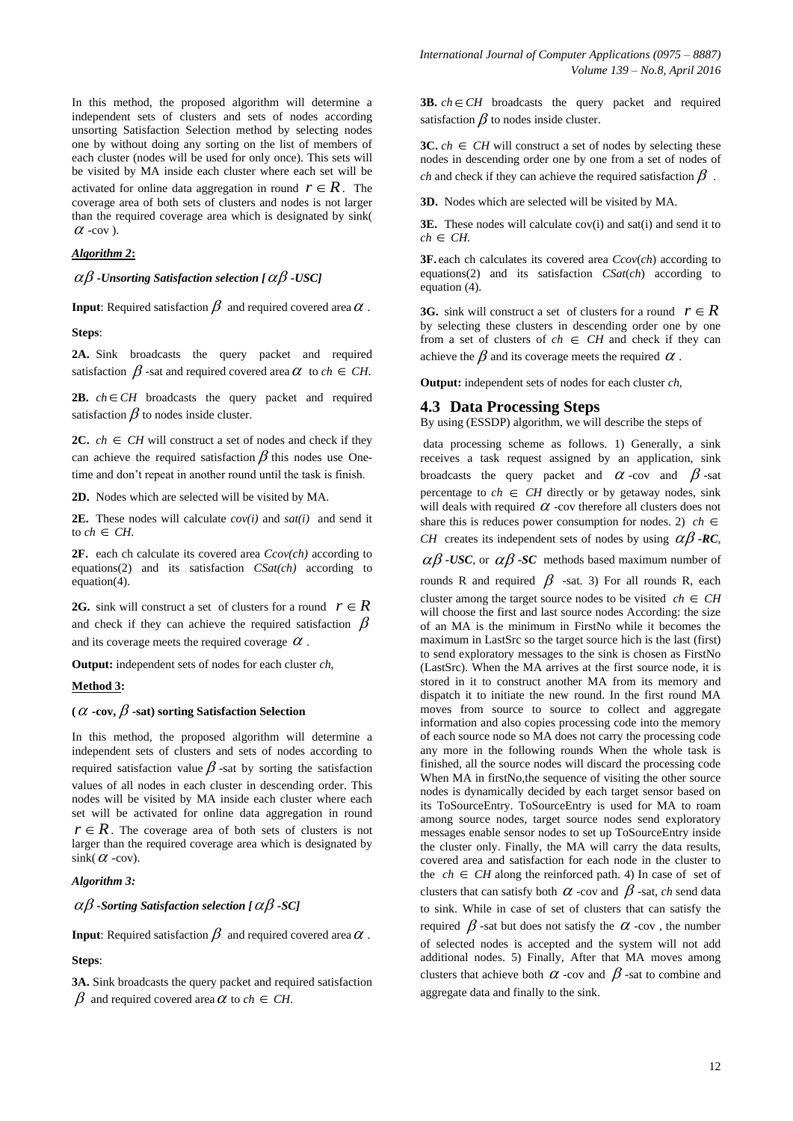In this method, the proposed algorithm will determine a independent sets of clusters and sets of nodes according unsorting Satisfaction Selection method by selecting nodes one by without doing any sorting on the list of members of each cluster (nodes will be used for only once). This sets will be visited by MA inside each cluster where each set will be activated for online data aggregation in round  $r \in R$ . The coverage area of both sets of clusters and nodes is not larger than the required coverage area which is designated by sink(  $\alpha$  -cov).

#### *Algorithm 2***:**

 $\alpha\beta$  -Unsorting Satisfaction selection [  $\alpha\beta$  -USC]

**Input**: Required satisfaction  $\beta$  and required covered area  $\alpha$  .

**Steps**:

**2A.** Sink broadcasts the query packet and required satisfaction  $\beta$  -sat and required covered area  $\alpha$  to  $ch \in CH$ .

**2B.**  $ch \in CH$  broadcasts the query packet and required satisfaction  $\beta$  to nodes inside cluster.

**2C.**  $ch \in CH$  will construct a set of nodes and check if they can achieve the required satisfaction  $\beta$  this nodes use Onetime and don't repeat in another round until the task is finish.

**2D.** Nodes which are selected will be visited by MA.

**2E.** These nodes will calculate *cov(i)* and *sat(i)* and send it to  $ch \in CH$ .

**2F.** each ch calculate its covered area *Ccov(ch)* according to equations(2) and its satisfaction *CSat(ch)* according to equation(4).

**2G.** sink will construct a set of clusters for a round  $r \in R$ and check if they can achieve the required satisfaction  $\beta$ and its coverage meets the required coverage  $\alpha$ .

**Output:** independent sets of nodes for each cluster *ch*,

#### **Method 3:**

#### (  $\alpha$  -cov,  $\beta$  -sat) sorting Satisfaction Selection

In this method, the proposed algorithm will determine a independent sets of clusters and sets of nodes according to required satisfaction value  $\beta$  -sat by sorting the satisfaction values of all nodes in each cluster in descending order. This nodes will be visited by MA inside each cluster where each set will be activated for online data aggregation in round  $r \in R$ . The coverage area of both sets of clusters is not larger than the required coverage area which is designated by  $\sin k(\alpha - \cos \alpha)$ .

#### *Algorithm 3:*

 $\alpha\beta$  -Sorting Satisfaction selection [  $\alpha\beta$  -SC]

**Input**: Required satisfaction  $\beta$  and required covered area  $\alpha$  .

#### **Steps**:

**3A.** Sink broadcasts the query packet and required satisfaction  $\beta$  and required covered area  $\alpha$  to  $ch \in CH$ .

**3B.**  $ch \in CH$  broadcasts the query packet and required satisfaction  $\beta$  to nodes inside cluster.

**3C.**  $ch \in CH$  will construct a set of nodes by selecting these nodes in descending order one by one from a set of nodes of *ch* and check if they can achieve the required satisfaction  $\beta$ .

**3D.** Nodes which are selected will be visited by MA.

**3E.** These nodes will calculate cov(i) and sat(i) and send it to  $ch \in CH$ .

**3F.** each ch calculates its covered area *Ccov*(*ch*) according to equations(2) and its satisfaction *CSat*(*ch*) according to equation (4).

**3G.** sink will construct a set of clusters for a round  $r \in R$ by selecting these clusters in descending order one by one from a set of clusters of  $ch \in CH$  and check if they can achieve the  $\beta$  and its coverage meets the required  $\alpha$  .

**Output:** independent sets of nodes for each cluster *ch*,

#### **4.3 Data Processing Steps**

By using (ESSDP) algorithm, we will describe the steps of

data processing scheme as follows. 1) Generally, a sink receives a task request assigned by an application, sink broadcasts the query packet and  $\alpha$ -cov and  $\beta$ -sat percentage to  $ch \in CH$  directly or by getaway nodes, sink will deals with required  $\alpha$  -cov therefore all clusters does not share this is reduces power consumption for nodes. 2)  $ch \in$ *CH* creates its independent sets of nodes by using  $\alpha\beta$  -*RC*,

 $\alpha\beta$  -USC, or  $\alpha\beta$  -SC methods based maximum number of

rounds R and required  $\beta$  -sat. 3) For all rounds R, each cluster among the target source nodes to be visited  $ch \in CH$ will choose the first and last source nodes According: the size of an MA is the minimum in FirstNo while it becomes the maximum in LastSrc so the target source hich is the last (first) to send exploratory messages to the sink is chosen as FirstNo (LastSrc). When the MA arrives at the first source node, it is stored in it to construct another MA from its memory and dispatch it to initiate the new round. In the first round MA moves from source to source to collect and aggregate information and also copies processing code into the memory of each source node so MA does not carry the processing code any more in the following rounds When the whole task is finished, all the source nodes will discard the processing code When MA in firstNo, the sequence of visiting the other source nodes is dynamically decided by each target sensor based on its ToSourceEntry. ToSourceEntry is used for MA to roam among source nodes, target source nodes send exploratory messages enable sensor nodes to set up ToSourceEntry inside the cluster only. Finally, the MA will carry the data results, covered area and satisfaction for each node in the cluster to the  $ch \in CH$  along the reinforced path. 4) In case of set of clusters that can satisfy both  $\alpha$  -cov and  $\beta$  -sat, *ch* send data to sink. While in case of set of clusters that can satisfy the required  $\beta$  -sat but does not satisfy the  $\alpha$  -cov, the number of selected nodes is accepted and the system will not add additional nodes. 5) Finally, After that MA moves among clusters that achieve both  $\alpha$  -cov and  $\beta$  -sat to combine and aggregate data and finally to the sink.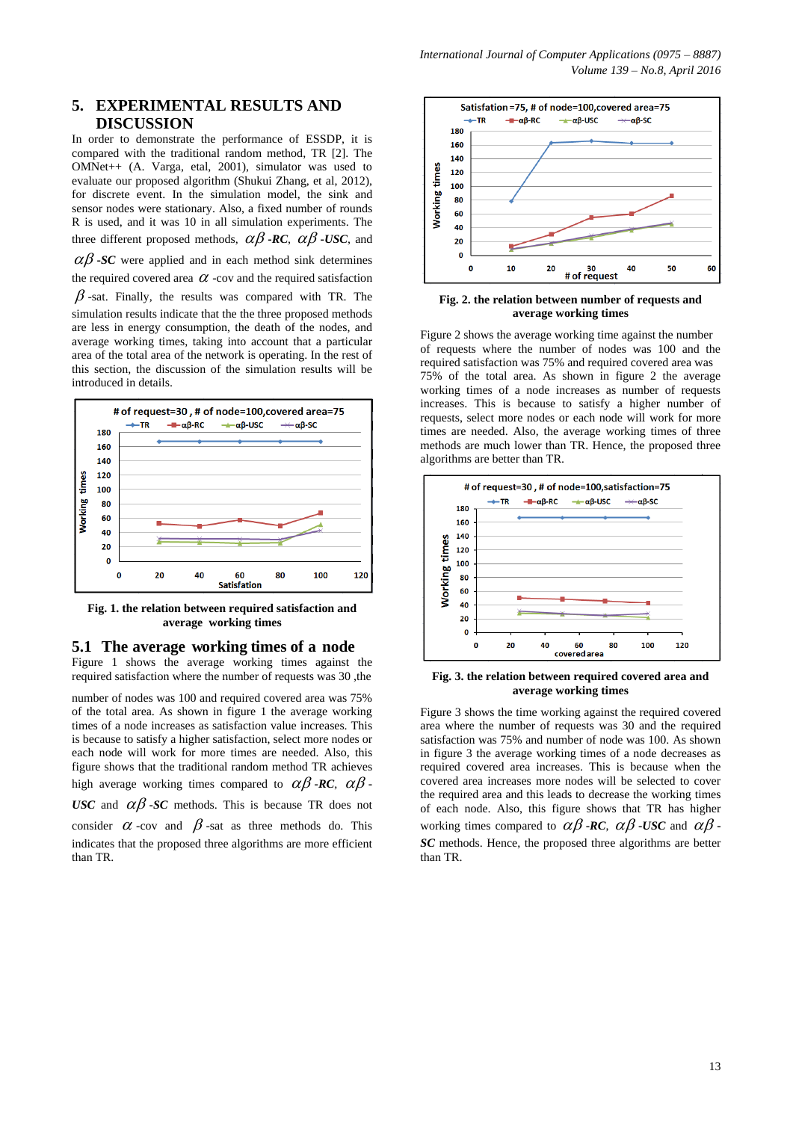# **5. EXPERIMENTAL RESULTS AND DISCUSSION**

In order to demonstrate the performance of ESSDP, it is compared with the traditional random method, TR [2]. The OMNet++ (A. Varga, etal, 2001), simulator was used to evaluate our proposed algorithm (Shukui Zhang, et al, 2012), for discrete event. In the simulation model, the sink and sensor nodes were stationary. Also, a fixed number of rounds R is used, and it was 10 in all simulation experiments. The three different proposed methods,  $\alpha\beta$  -*RC*,  $\alpha\beta$  -*USC*, and  $\alpha\beta$ -*SC* were applied and in each method sink determines

the required covered area  $\alpha$  -cov and the required satisfaction  $\beta$ -sat. Finally, the results was compared with TR. The simulation results indicate that the the three proposed methods are less in energy consumption, the death of the nodes, and average working times, taking into account that a particular area of the total area of the network is operating. In the rest of this section, the discussion of the simulation results will be introduced in details.



**Fig. 1. the relation between required satisfaction and average working times**

## **5.1 The average working times of a node**

Figure 1 shows the average working times against the required satisfaction where the number of requests was 30 ,the

number of nodes was 100 and required covered area was 75% of the total area. As shown in figure 1 the average working times of a node increases as satisfaction value increases. This is because to satisfy a higher satisfaction, select more nodes or each node will work for more times are needed. Also, this figure shows that the traditional random method TR achieves high average working times compared to  $\alpha\beta$  **-RC**,  $\alpha\beta$  **-**USC and  $\alpha\beta$ -SC methods. This is because TR does not consider  $\alpha$  -cov and  $\beta$ -sat as three methods do. This indicates that the proposed three algorithms are more efficient than TR.



**Fig. 2. the relation between number of requests and average working times**

Figure 2 shows the average working time against the number of requests where the number of nodes was 100 and the required satisfaction was 75% and required covered area was 75% of the total area. As shown in figure 2 the average working times of a node increases as number of requests increases. This is because to satisfy a higher number of requests, select more nodes or each node will work for more times are needed. Also, the average working times of three methods are much lower than TR. Hence, the proposed three algorithms are better than TR.



**Fig. 3. the relation between required covered area and average working times**

Figure 3 shows the time working against the required covered area where the number of requests was 30 and the required satisfaction was 75% and number of node was 100. As shown in figure 3 the average working times of a node decreases as required covered area increases. This is because when the covered area increases more nodes will be selected to cover the required area and this leads to decrease the working times of each node. Also, this figure shows that TR has higher working times compared to  $\alpha\beta$  -*RC*,  $\alpha\beta$  -*USC* and  $\alpha\beta$  -*SC* methods. Hence, the proposed three algorithms are better than TR.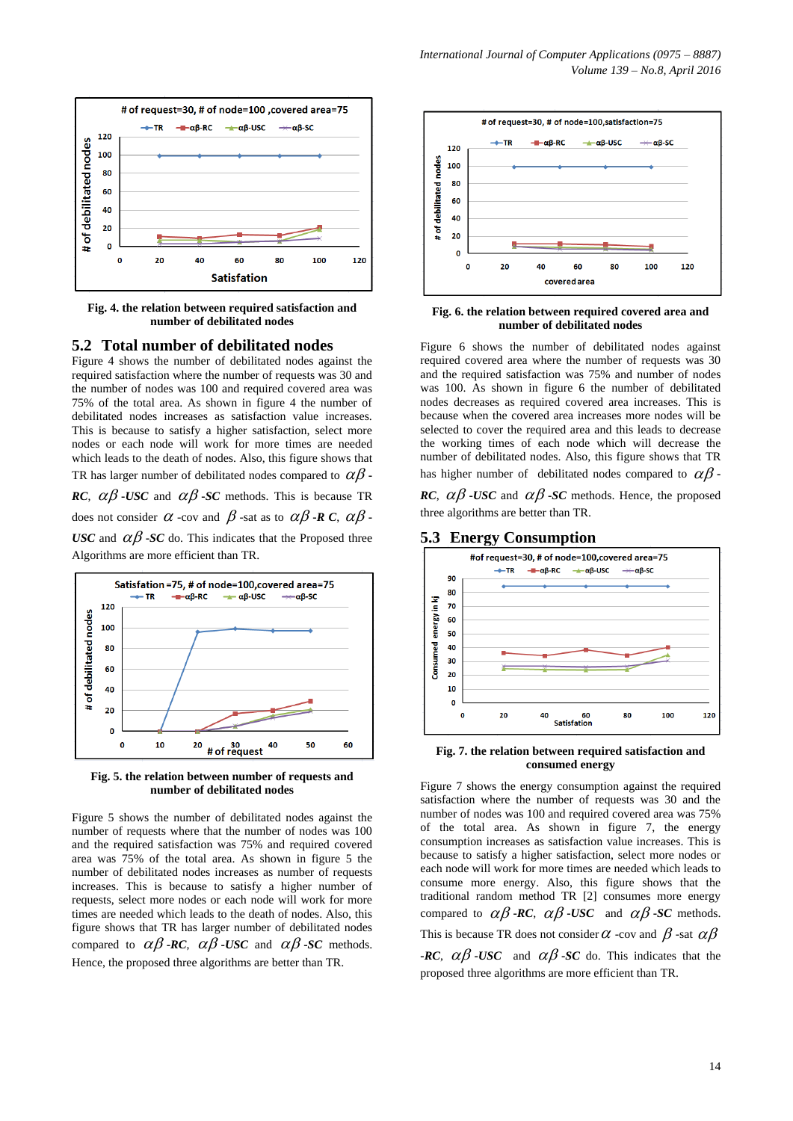

**Fig. 4. the relation between required satisfaction and number of debilitated nodes**

### **5.2 Total number of debilitated nodes**

Figure 4 shows the number of debilitated nodes against the required satisfaction where the number of requests was 30 and the number of nodes was 100 and required covered area was 75% of the total area. As shown in figure 4 the number of debilitated nodes increases as satisfaction value increases. This is because to satisfy a higher satisfaction, select more nodes or each node will work for more times are needed which leads to the death of nodes. Also, this figure shows that TR has larger number of debilitated nodes compared to  $\alpha\beta$  -*RC*,  $\alpha\beta$  *-USC* and  $\alpha\beta$  *-SC* methods. This is because TR does not consider  $\alpha$  -cov and  $\beta$  -sat as to  $\alpha\beta$  -**R** C,  $\alpha\beta$  -USC and  $\alpha\beta$ -*SC* do. This indicates that the Proposed three Algorithms are more efficient than TR.



**Fig. 5. the relation between number of requests and number of debilitated nodes**

Figure 5 shows the number of debilitated nodes against the number of requests where that the number of nodes was 100 and the required satisfaction was 75% and required covered area was 75% of the total area. As shown in figure 5 the number of debilitated nodes increases as number of requests increases. This is because to satisfy a higher number of requests, select more nodes or each node will work for more times are needed which leads to the death of nodes. Also, this figure shows that TR has larger number of debilitated nodes compared to  $\alpha\beta$ -*RC*,  $\alpha\beta$ -*USC* and  $\alpha\beta$ -*SC* methods. Hence, the proposed three algorithms are better than TR.



**Fig. 6. the relation between required covered area and number of debilitated nodes**

Figure 6 shows the number of debilitated nodes against required covered area where the number of requests was 30 and the required satisfaction was 75% and number of nodes was 100. As shown in figure 6 the number of debilitated nodes decreases as required covered area increases. This is because when the covered area increases more nodes will be selected to cover the required area and this leads to decrease the working times of each node which will decrease the number of debilitated nodes. Also, this figure shows that TR has higher number of debilitated nodes compared to  $\alpha\beta$  -

*RC*,  $\alpha\beta$  -*USC* and  $\alpha\beta$  -*SC* methods. Hence, the proposed three algorithms are better than TR.

#### **5.3 Energy Consumption**



**Fig. 7. the relation between required satisfaction and consumed energy**

Figure 7 shows the energy consumption against the required satisfaction where the number of requests was 30 and the number of nodes was 100 and required covered area was 75% of the total area. As shown in figure 7, the energy consumption increases as satisfaction value increases. This is because to satisfy a higher satisfaction, select more nodes or each node will work for more times are needed which leads to consume more energy. Also, this figure shows that the traditional random method TR [2] consumes more energy compared to  $\alpha\beta$  -*RC*,  $\alpha\beta$  -*USC* and  $\alpha\beta$  -*SC* methods. This is because TR does not consider  $\alpha$  -cov and  $\beta$  -sat  $\alpha\beta$ **-RC**,  $\alpha\beta$  -USC and  $\alpha\beta$  -SC do. This indicates that the proposed three algorithms are more efficient than TR.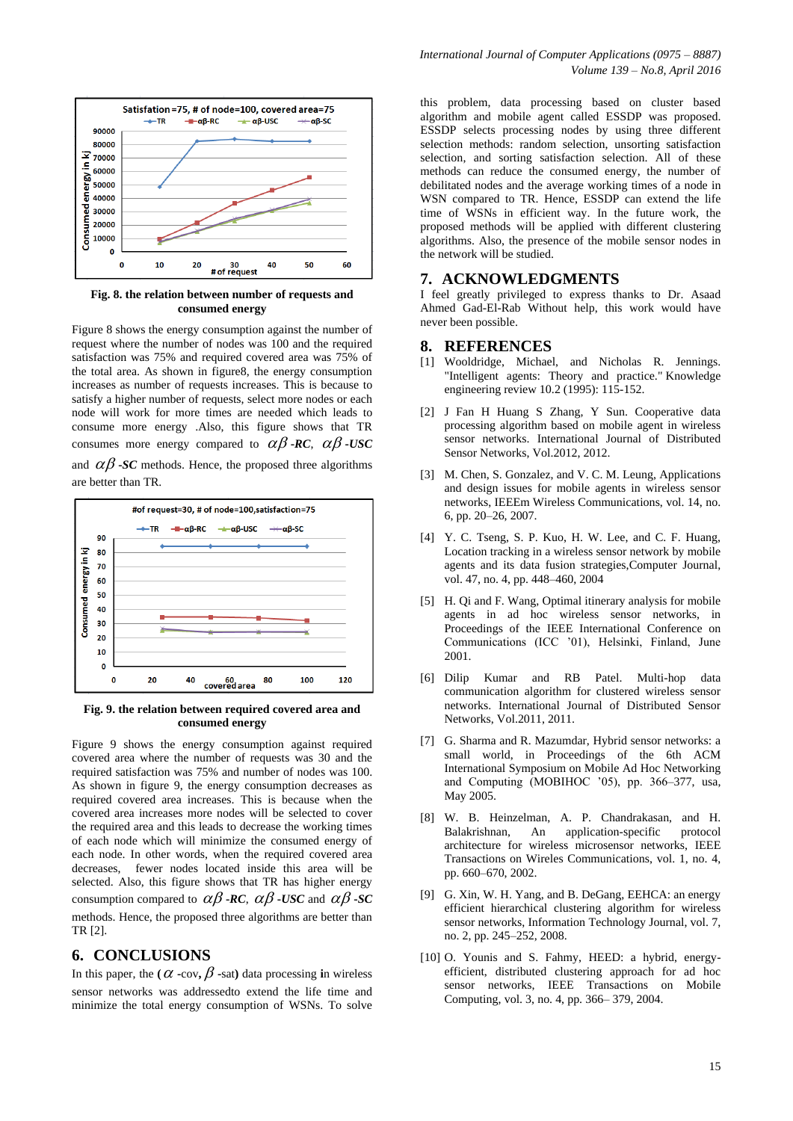

**Fig. 8. the relation between number of requests and consumed energy**

Figure 8 shows the energy consumption against the number of request where the number of nodes was 100 and the required satisfaction was 75% and required covered area was 75% of the total area. As shown in figure8, the energy consumption increases as number of requests increases. This is because to satisfy a higher number of requests, select more nodes or each node will work for more times are needed which leads to consume more energy .Also, this figure shows that TR consumes more energy compared to  $\alpha\beta$  -*RC*,  $\alpha\beta$  -*USC* and  $\alpha\beta$  -*SC* methods. Hence, the proposed three algorithms



**Fig. 9. the relation between required covered area and consumed energy**

Figure 9 shows the energy consumption against required covered area where the number of requests was 30 and the required satisfaction was 75% and number of nodes was 100. As shown in figure 9, the energy consumption decreases as required covered area increases. This is because when the covered area increases more nodes will be selected to cover the required area and this leads to decrease the working times of each node which will minimize the consumed energy of each node. In other words, when the required covered area decreases, fewer nodes located inside this area will be selected. Also, this figure shows that TR has higher energy consumption compared to  $\alpha\beta$  -*RC*,  $\alpha\beta$  -*USC* and  $\alpha\beta$  -*SC* methods. Hence, the proposed three algorithms are better than TR [2].

# **6. CONCLUSIONS**

In this paper, the ( $\alpha$  -cov,  $\beta$  -sat) data processing in wireless sensor networks was addressedto extend the life time and minimize the total energy consumption of WSNs. To solve

this problem, data processing based on cluster based algorithm and mobile agent called ESSDP was proposed. ESSDP selects processing nodes by using three different selection methods: random selection, unsorting satisfaction selection, and sorting satisfaction selection. All of these methods can reduce the consumed energy, the number of debilitated nodes and the average working times of a node in WSN compared to TR. Hence, ESSDP can extend the life time of WSNs in efficient way. In the future work, the proposed methods will be applied with different clustering algorithms. Also, the presence of the mobile sensor nodes in the network will be studied.

## **7. ACKNOWLEDGMENTS**

I feel greatly privileged to express thanks to Dr. Asaad Ahmed Gad-El-Rab Without help, this work would have never been possible.

## **8. REFERENCES**

- [1] Wooldridge, Michael, and Nicholas R. Jennings. "Intelligent agents: Theory and practice." Knowledge engineering review 10.2 (1995): 115-152.
- [2] J Fan H Huang S Zhang, Y Sun. Cooperative data processing algorithm based on mobile agent in wireless sensor networks. International Journal of Distributed Sensor Networks, Vol.2012, 2012.
- [3] M. Chen, S. Gonzalez, and V. C. M. Leung, Applications and design issues for mobile agents in wireless sensor networks, IEEEm Wireless Communications, vol. 14, no. 6, pp. 20–26, 2007.
- [4] Y. C. Tseng, S. P. Kuo, H. W. Lee, and C. F. Huang, Location tracking in a wireless sensor network by mobile agents and its data fusion strategies,Computer Journal, vol. 47, no. 4, pp. 448–460, 2004
- [5] H. Qi and F. Wang, Optimal itinerary analysis for mobile agents in ad hoc wireless sensor networks, in Proceedings of the IEEE International Conference on Communications (ICC '01), Helsinki, Finland, June 2001.
- [6] Dilip Kumar and RB Patel. Multi-hop data communication algorithm for clustered wireless sensor networks. International Journal of Distributed Sensor Networks, Vol.2011, 2011.
- [7] G. Sharma and R. Mazumdar, Hybrid sensor networks: a small world, in Proceedings of the 6th ACM International Symposium on Mobile Ad Hoc Networking and Computing (MOBIHOC '05), pp. 366–377, usa, May 2005.
- [8] W. B. Heinzelman, A. P. Chandrakasan, and H. Balakrishnan, An application-specific protocol architecture for wireless microsensor networks, IEEE Transactions on Wireles Communications, vol. 1, no. 4, pp. 660–670, 2002.
- [9] G. Xin, W. H. Yang, and B. DeGang, EEHCA: an energy efficient hierarchical clustering algorithm for wireless sensor networks, Information Technology Journal, vol. 7, no. 2, pp. 245–252, 2008.
- [10] O. Younis and S. Fahmy, HEED: a hybrid, energyefficient, distributed clustering approach for ad hoc sensor networks, IEEE Transactions on Mobile Computing, vol. 3, no. 4, pp. 366– 379, 2004.